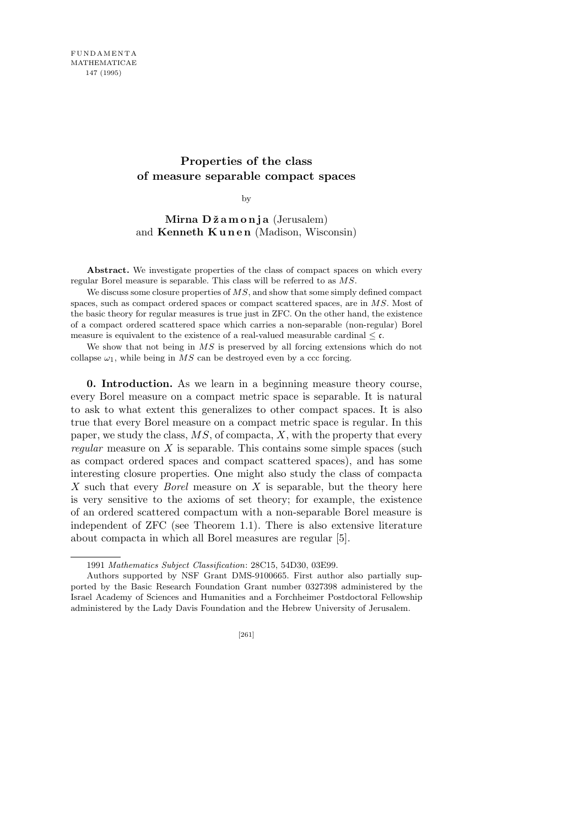## **Properties of the class of measure separable compact spaces**

by

**Mirna D ˇz a m o n j a** (Jerusalem) and **Kenneth Kunen** (Madison, Wisconsin)

Abstract. We investigate properties of the class of compact spaces on which every regular Borel measure is separable. This class will be referred to as *MS*.

We discuss some closure properties of MS, and show that some simply defined compact spaces, such as compact ordered spaces or compact scattered spaces, are in *MS*. Most of the basic theory for regular measures is true just in ZFC. On the other hand, the existence of a compact ordered scattered space which carries a non-separable (non-regular) Borel measure is equivalent to the existence of a real-valued measurable cardinal  $\leq \mathfrak{c}$ .

We show that not being in *MS* is preserved by all forcing extensions which do not collapse  $\omega_1$ , while being in *MS* can be destroyed even by a ccc forcing.

**0. Introduction.** As we learn in a beginning measure theory course, every Borel measure on a compact metric space is separable. It is natural to ask to what extent this generalizes to other compact spaces. It is also true that every Borel measure on a compact metric space is regular. In this paper, we study the class, *MS*, of compacta, *X*, with the property that every *regular* measure on *X* is separable. This contains some simple spaces (such as compact ordered spaces and compact scattered spaces), and has some interesting closure properties. One might also study the class of compacta *X* such that every *Borel* measure on *X* is separable, but the theory here is very sensitive to the axioms of set theory; for example, the existence of an ordered scattered compactum with a non-separable Borel measure is independent of ZFC (see Theorem 1.1). There is also extensive literature about compacta in which all Borel measures are regular [5].

<sup>1991</sup> *Mathematics Subject Classification*: 28C15, 54D30, 03E99.

Authors supported by NSF Grant DMS-9100665. First author also partially supported by the Basic Research Foundation Grant number 0327398 administered by the Israel Academy of Sciences and Humanities and a Forchheimer Postdoctoral Fellowship administered by the Lady Davis Foundation and the Hebrew University of Jerusalem.

<sup>[261]</sup>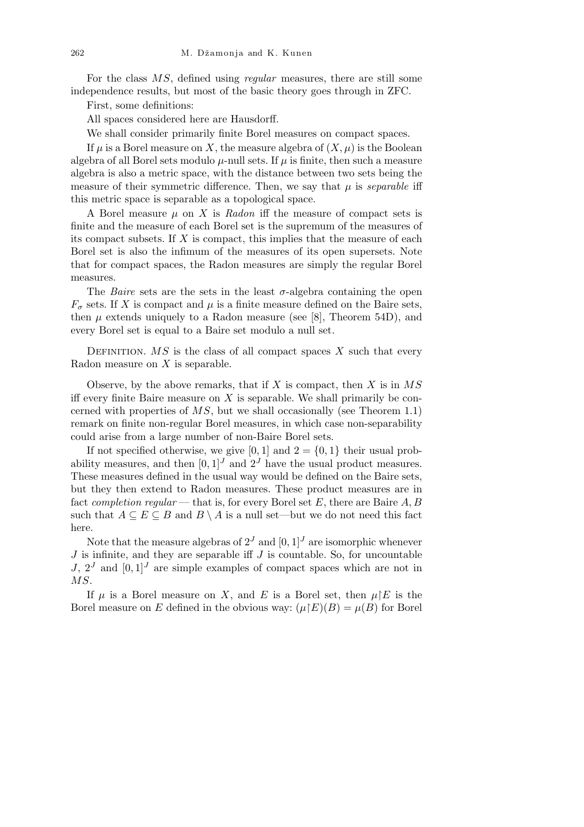For the class *MS*, defined using *regular* measures, there are still some independence results, but most of the basic theory goes through in ZFC.

First, some definitions:

All spaces considered here are Hausdorff.

We shall consider primarily finite Borel measures on compact spaces.

If  $\mu$  is a Borel measure on X, the measure algebra of  $(X, \mu)$  is the Boolean algebra of all Borel sets modulo  $\mu$ -null sets. If  $\mu$  is finite, then such a measure algebra is also a metric space, with the distance between two sets being the measure of their symmetric difference. Then, we say that  $\mu$  is *separable* iff this metric space is separable as a topological space.

A Borel measure  $\mu$  on X is Radon iff the measure of compact sets is finite and the measure of each Borel set is the supremum of the measures of its compact subsets. If *X* is compact, this implies that the measure of each Borel set is also the infimum of the measures of its open supersets. Note that for compact spaces, the Radon measures are simply the regular Borel measures.

The *Baire* sets are the sets in the least  $\sigma$ -algebra containing the open  $F_{\sigma}$  sets. If *X* is compact and  $\mu$  is a finite measure defined on the Baire sets, then  $\mu$  extends uniquely to a Radon measure (see [8], Theorem 54D), and every Borel set is equal to a Baire set modulo a null set.

DEFINITION.  $MS$  is the class of all compact spaces  $X$  such that every Radon measure on *X* is separable.

Observe, by the above remarks, that if *X* is compact, then *X* is in *MS* iff every finite Baire measure on *X* is separable. We shall primarily be concerned with properties of *MS*, but we shall occasionally (see Theorem 1.1) remark on finite non-regular Borel measures, in which case non-separability could arise from a large number of non-Baire Borel sets.

If not specified otherwise, we give [0, 1] and  $2 = \{0, 1\}$  their usual probability measures, and then  $[0,1]^J$  and  $2^J$  have the usual product measures. These measures defined in the usual way would be defined on the Baire sets, but they then extend to Radon measures. These product measures are in fact *completion regular* — that is, for every Borel set *E*, there are Baire *A, B* such that  $A \subseteq E \subseteq B$  and  $B \setminus A$  is a null set—but we do not need this fact here.

Note that the measure algebras of  $2^J$  and  $[0, 1]^J$  are isomorphic whenever *J* is infinite, and they are separable iff *J* is countable. So, for uncountable *J*,  $2^J$  and  $[0,1]^J$  are simple examples of compact spaces which are not in *MS*.

If  $\mu$  is a Borel measure on *X*, and *E* is a Borel set, then  $\mu$ <sup>r</sup>*E* is the Borel measure on *E* defined in the obvious way:  $(\mu E)(B) = \mu(B)$  for Borel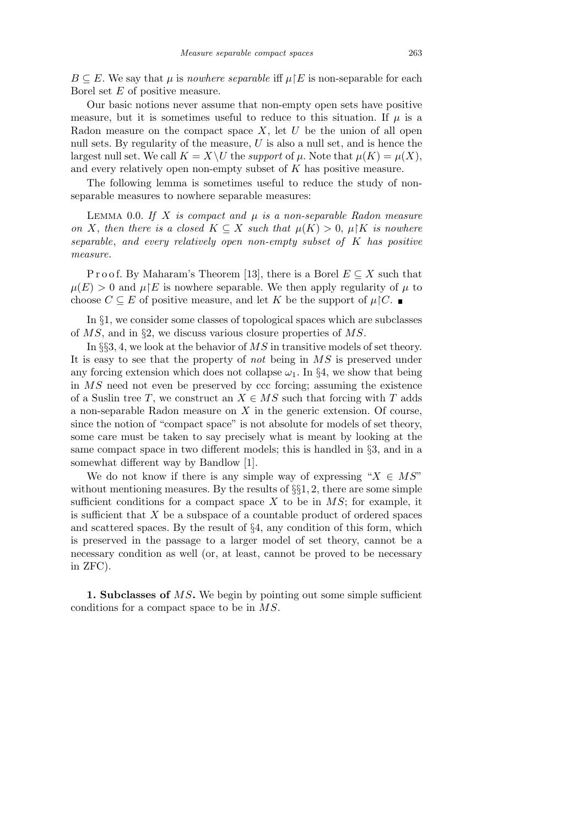$B \subseteq E$ . We say that  $\mu$  is *nowhere separable* iff  $\mu \nvert E$  is non-separable for each Borel set *E* of positive measure.

Our basic notions never assume that non-empty open sets have positive measure, but it is sometimes useful to reduce to this situation. If  $\mu$  is a Radon measure on the compact space *X*, let *U* be the union of all open null sets. By regularity of the measure, *U* is also a null set, and is hence the largest null set. We call  $K = X \setminus U$  the *support* of  $\mu$ . Note that  $\mu(K) = \mu(X)$ , and every relatively open non-empty subset of *K* has positive measure.

The following lemma is sometimes useful to reduce the study of nonseparable measures to nowhere separable measures:

Lemma 0.0. *If X is compact and µ is a non-separable Radon measure on X*, then there is a closed  $K \subseteq X$  such that  $\mu(K) > 0$ ,  $\mu \mid K$  is nowhere *separable*, *and every relatively open non-empty subset of K has positive measure.*

Proof. By Maharam's Theorem [13], there is a Borel  $E \subseteq X$  such that  $\mu(E) > 0$  and  $\mu(E)$  is nowhere separable. We then apply regularity of  $\mu$  to choose  $C \subseteq E$  of positive measure, and let *K* be the support of  $\mu$ |C.

In *§*1, we consider some classes of topological spaces which are subclasses of *MS*, and in *§*2, we discuss various closure properties of *MS*.

In *§§*3*,* 4, we look at the behavior of *MS* in transitive models of set theory. It is easy to see that the property of *not* being in *MS* is preserved under any forcing extension which does not collapse  $\omega_1$ . In §4, we show that being in *MS* need not even be preserved by ccc forcing; assuming the existence of a Suslin tree *T*, we construct an  $X \in MS$  such that forcing with *T* adds a non-separable Radon measure on *X* in the generic extension. Of course, since the notion of "compact space" is not absolute for models of set theory, some care must be taken to say precisely what is meant by looking at the same compact space in two different models; this is handled in *§*3, and in a somewhat different way by Bandlow [1].

We do not know if there is any simple way of expressing " $X \in MS$ " without mentioning measures. By the results of *§§*1*,* 2, there are some simple sufficient conditions for a compact space *X* to be in *MS*; for example, it is sufficient that *X* be a subspace of a countable product of ordered spaces and scattered spaces. By the result of *§*4, any condition of this form, which is preserved in the passage to a larger model of set theory, cannot be a necessary condition as well (or, at least, cannot be proved to be necessary in ZFC).

**1. Subclasses of** *MS***.** We begin by pointing out some simple sufficient conditions for a compact space to be in *MS*.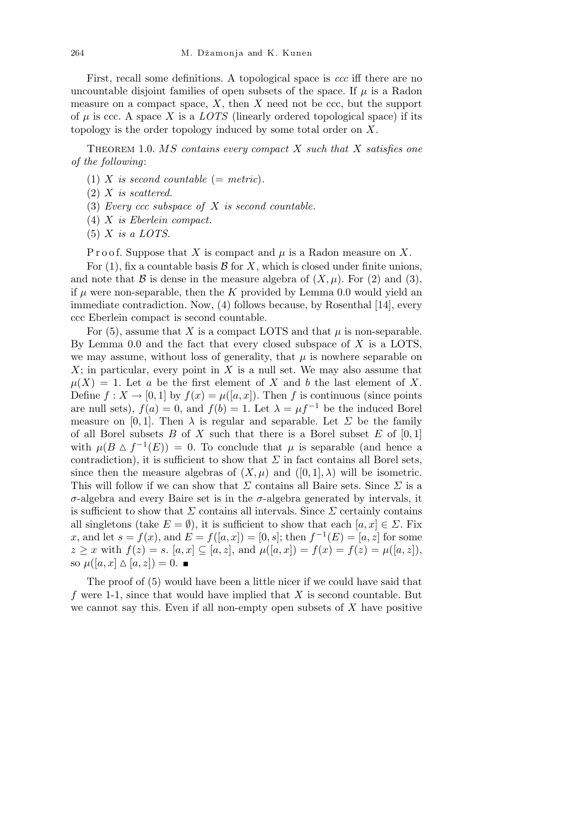First, recall some definitions. A topological space is *ccc* iff there are no uncountable disjoint families of open subsets of the space. If  $\mu$  is a Radon measure on a compact space, *X*, then *X* need not be ccc, but the support of  $\mu$  is ccc. A space X is a *LOTS* (linearly ordered topological space) if its topology is the order topology induced by some total order on *X*.

Theorem 1.0. *MS contains every compact X such that X satisfies one of the following*:

- (1) *X* is second countable (= metric).
- (2) *X is scattered.*
- (3) *Every ccc subspace of X is second countable.*
- (4) *X is Eberlein compact.*
- (5) *X is a LOTS.*

P r o o f. Suppose that X is compact and  $\mu$  is a Radon measure on X.

For  $(1)$ , fix a countable basis  $\beta$  for  $X$ , which is closed under finite unions, and note that *B* is dense in the measure algebra of  $(X, \mu)$ . For  $(2)$  and  $(3)$ , if  $\mu$  were non-separable, then the  $K$  provided by Lemma 0.0 would yield an immediate contradiction. Now, (4) follows because, by Rosenthal [14], every ccc Eberlein compact is second countable.

For  $(5)$ , assume that *X* is a compact LOTS and that  $\mu$  is non-separable. By Lemma 0.0 and the fact that every closed subspace of *X* is a LOTS, we may assume, without loss of generality, that  $\mu$  is nowhere separable on *X*; in particular, every point in *X* is a null set. We may also assume that  $\mu(X) = 1$ . Let *a* be the first element of *X* and *b* the last element of *X*. Define  $f: X \to [0, 1]$  by  $f(x) = \mu([a, x])$ . Then f is continuous (since points are null sets),  $f(a) = 0$ , and  $f(b) = 1$ . Let  $\lambda = \mu f^{-1}$  be the induced Borel measure on [0, 1]. Then  $\lambda$  is regular and separable. Let  $\Sigma$  be the family of all Borel subsets  $B$  of  $X$  such that there is a Borel subset  $E$  of  $[0,1]$ with  $\mu(B \triangle f^{-1}(E)) = 0$ . To conclude that  $\mu$  is separable (and hence a contradiction), it is sufficient to show that  $\Sigma$  in fact contains all Borel sets, since then the measure algebras of  $(X, \mu)$  and  $([0, 1], \lambda)$  will be isometric. This will follow if we can show that *Σ* contains all Baire sets. Since *Σ* is a *σ*-algebra and every Baire set is in the *σ*-algebra generated by intervals, it is sufficient to show that  $\Sigma$  contains all intervals. Since  $\Sigma$  certainly contains all singletons (take  $E = \emptyset$ ), it is sufficient to show that each  $[a, x] \in \Sigma$ . Fix *x*, and let  $s = f(x)$ , and  $E = f([a, x]) = [0, s]$ ; then  $f^{-1}(E) = [a, z]$  for some  $z \geq x$  with  $f(z) = s$ .  $[a, x] \subseteq [a, z]$ , and  $\mu([a, x]) = f(x) = f(z) = \mu([a, z])$ , so  $\mu([a, x] \Delta [a, z]) = 0$ .

The proof of (5) would have been a little nicer if we could have said that *f* were 1-1, since that would have implied that *X* is second countable. But we cannot say this. Even if all non-empty open subsets of *X* have positive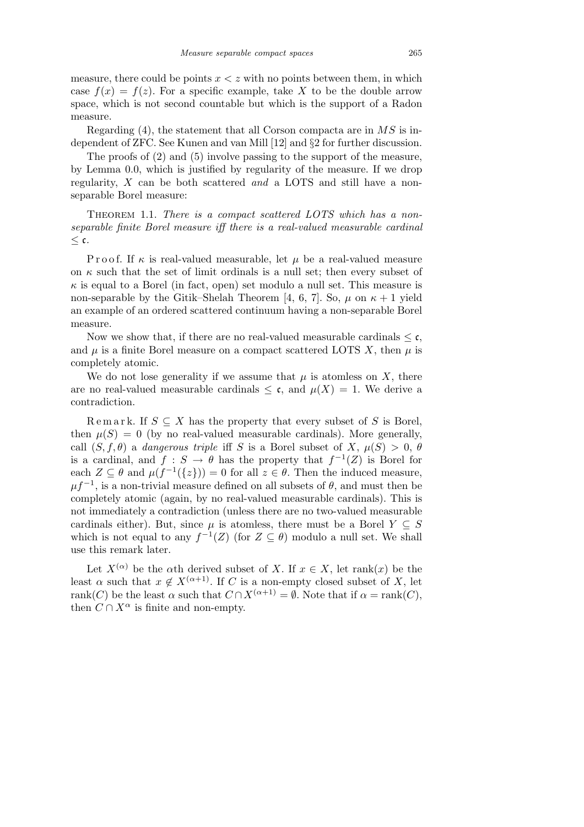measure, there could be points *x < z* with no points between them, in which case  $f(x) = f(z)$ . For a specific example, take X to be the double arrow space, which is not second countable but which is the support of a Radon measure.

Regarding (4), the statement that all Corson compacta are in *MS* is independent of ZFC. See Kunen and van Mill [12] and *§*2 for further discussion.

The proofs of (2) and (5) involve passing to the support of the measure, by Lemma 0.0, which is justified by regularity of the measure. If we drop regularity, *X* can be both scattered *and* a LOTS and still have a nonseparable Borel measure:

Theorem 1.1. *There is a compact scattered LOTS which has a nonseparable finite Borel measure iff there is a real-valued measurable cardinal ≤* c*.*

P r o o f. If  $\kappa$  is real-valued measurable, let  $\mu$  be a real-valued measure on  $\kappa$  such that the set of limit ordinals is a null set; then every subset of  $\kappa$  is equal to a Borel (in fact, open) set modulo a null set. This measure is non-separable by the Gitik–Shelah Theorem [4, 6, 7]. So,  $\mu$  on  $\kappa + 1$  yield an example of an ordered scattered continuum having a non-separable Borel measure.

Now we show that, if there are no real-valued measurable cardinals  $\leq \mathfrak{c}$ , and  $\mu$  is a finite Borel measure on a compact scattered LOTS *X*, then  $\mu$  is completely atomic.

We do not lose generality if we assume that  $\mu$  is atomless on  $X$ , there are no real-valued measurable cardinals  $\leq \mathfrak{c}$ , and  $\mu(X) = 1$ . We derive a contradiction.

Remark. If  $S \subseteq X$  has the property that every subset of S is Borel, then  $\mu(S) = 0$  (by no real-valued measurable cardinals). More generally, call  $(S, f, \theta)$  a *dangerous triple* iff *S* is a Borel subset of *X*,  $\mu(S) > 0$ ,  $\theta$ is a cardinal, and  $f : S \to \theta$  has the property that  $f^{-1}(Z)$  is Borel for each  $Z \subseteq \theta$  and  $\mu(f^{-1}(\{z\})) = 0$  for all  $z \in \theta$ . Then the induced measure,  $\mu f^{-1}$ , is a non-trivial measure defined on all subsets of  $\theta$ , and must then be completely atomic (again, by no real-valued measurable cardinals). This is not immediately a contradiction (unless there are no two-valued measurable cardinals either). But, since  $\mu$  is atomless, there must be a Borel  $Y \subseteq S$ which is not equal to any  $f^{-1}(Z)$  (for  $Z \subseteq \theta$ ) modulo a null set. We shall use this remark later.

Let  $X^{(\alpha)}$  be the  $\alpha$ th derived subset of *X*. If  $x \in X$ , let rank(*x*) be the least *α* such that  $x \notin X^{(\alpha+1)}$ . If *C* is a non-empty closed subset of *X*, let rank(*C*) be the least  $\alpha$  such that  $C \cap X^{(\alpha+1)} = \emptyset$ . Note that if  $\alpha = \text{rank}(C)$ , then  $C \cap X^{\alpha}$  is finite and non-empty.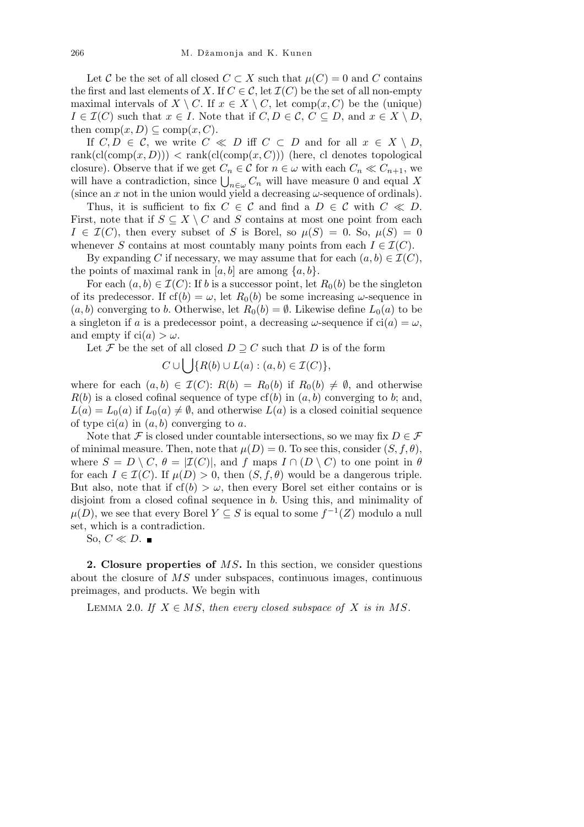Let *C* be the set of all closed  $C \subset X$  such that  $\mu(C) = 0$  and  $C$  contains the first and last elements of *X*. If  $C \in \mathcal{C}$ , let  $\mathcal{I}(C)$  be the set of all non-empty maximal intervals of *X*  $\setminus$  *C*. If  $x \in X \setminus C$ , let comp $(x, C)$  be the (unique)  $I \in \mathcal{I}(C)$  such that  $x \in I$ . Note that if  $C, D \in \mathcal{C}, C \subseteq D$ , and  $x \in X \setminus D$ , then  $comp(x, D) \subseteq comp(x, C)$ .

If  $C, D \in \mathcal{C}$ , we write  $C \ll D$  iff  $C \subset D$  and for all  $x \in X \setminus D$ ,  $rank(cl(\text{comp}(x, D)))$   $\leq$  rank $(cl(\text{comp}(x, C)))$  (here, cl denotes topological closure). Observe that if we get  $C_n \in \mathcal{C}$  for  $n \in \omega$  with each  $C_n \ll C_{n+1}$ , we closure). Observe that if we get  $C_n \in C$  for  $n \in \omega$  with each  $C_n \ll C_{n+1}$ , we will have a contradiction, since  $\bigcup_{n \in \omega} C_n$  will have measure 0 and equal *X* (since an x not in the union would yield a decreasing  $\omega$ -sequence of ordinals).

Thus, it is sufficient to fix  $C \in \mathcal{C}$  and find a  $D \in \mathcal{C}$  with  $C \ll D$ . First, note that if  $S \subseteq X \setminus C$  and *S* contains at most one point from each  $I \in \mathcal{I}(C)$ , then every subset of *S* is Borel, so  $\mu(S) = 0$ . So,  $\mu(S) = 0$ whenever *S* contains at most countably many points from each  $I \in \mathcal{I}(C)$ .

By expanding *C* if necessary, we may assume that for each  $(a, b) \in \mathcal{I}(C)$ , the points of maximal rank in  $[a, b]$  are among  $\{a, b\}$ .

For each  $(a, b) \in \mathcal{I}(C)$ : If *b* is a successor point, let  $R_0(b)$  be the singleton of its predecessor. If  $cf(b) = \omega$ , let  $R_0(b)$  be some increasing  $\omega$ -sequence in  $(a, b)$  converging to *b*. Otherwise, let  $R_0(b) = \emptyset$ . Likewise define  $L_0(a)$  to be a singleton if *a* is a predecessor point, a decreasing  $\omega$ -sequence if ci(*a*) =  $\omega$ , and empty if  $ci(a) > \omega$ .

Let *F* be the set of all closed  $D \supseteq C$  such that *D* is of the form

$$
C \cup \bigcup \{ R(b) \cup L(a) : (a, b) \in \mathcal{I}(C) \},
$$

where for each  $(a, b) \in \mathcal{I}(C)$ :  $R(b) = R_0(b)$  if  $R_0(b) \neq \emptyset$ , and otherwise  $R(b)$  is a closed cofinal sequence of type  $cf(b)$  in  $(a, b)$  converging to *b*; and,  $L(a) = L_0(a)$  if  $L_0(a) \neq \emptyset$ , and otherwise  $L(a)$  is a closed coinitial sequence of type  $ci(a)$  in  $(a, b)$  converging to  $a$ .

Note that  $\mathcal F$  is closed under countable intersections, so we may fix  $D \in \mathcal F$ of minimal measure. Then, note that  $\mu(D) = 0$ . To see this, consider  $(S, f, \theta)$ , where  $S = D \setminus C$ ,  $\theta = |{\mathcal{I}}(C)|$ , and  $f$  maps  $I \cap (D \setminus C)$  to one point in  $\theta$ for each  $I \in \mathcal{I}(C)$ . If  $\mu(D) > 0$ , then  $(S, f, \theta)$  would be a dangerous triple. But also, note that if  $cf(b) > \omega$ , then every Borel set either contains or is disjoint from a closed cofinal sequence in *b*. Using this, and minimality of  $\mu(D)$ , we see that every Borel  $Y \subseteq S$  is equal to some  $f^{-1}(Z)$  modulo a null set, which is a contradiction.

So,  $C \ll D$ .

**2. Closure properties of** *MS***.** In this section, we consider questions about the closure of *MS* under subspaces, continuous images, continuous preimages, and products. We begin with

LEMMA 2.0. If  $X \in MS$ , then every closed subspace of X is in MS.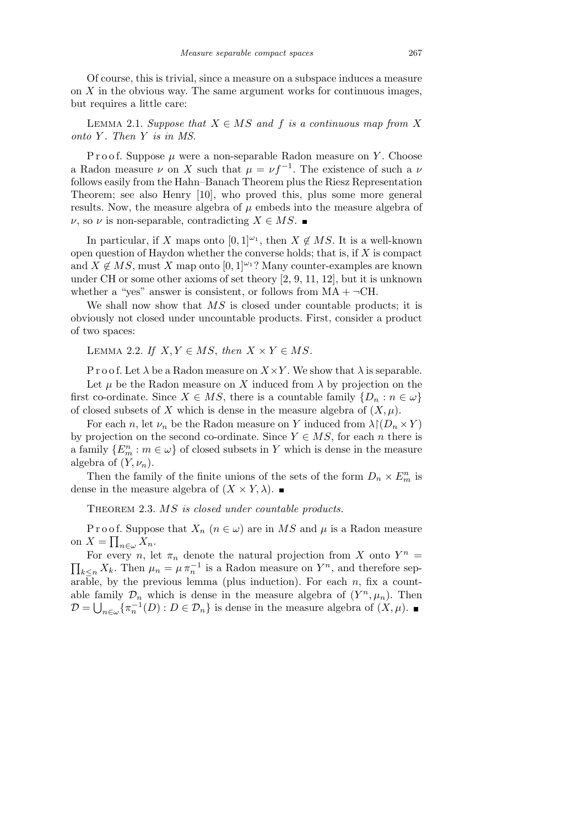Of course, this is trivial, since a measure on a subspace induces a measure on *X* in the obvious way. The same argument works for continuous images, but requires a little care:

LEMMA 2.1. *Suppose that*  $X \in MS$  *and*  $f$  *is a continuous map from*  $X$ *onto Y . Then Y is in MS.*

P r o o f. Suppose  $\mu$  were a non-separable Radon measure on *Y*. Choose a Radon measure  $\nu$  on *X* such that  $\mu = \nu f^{-1}$ . The existence of such a  $\nu$ follows easily from the Hahn–Banach Theorem plus the Riesz Representation Theorem; see also Henry [10], who proved this, plus some more general results. Now, the measure algebra of  $\mu$  embeds into the measure algebra of *ν*, so *ν* is non-separable, contradicting *X*  $\in$  *MS*. ■

In particular, if *X* maps onto  $[0,1]^{w_1}$ , then  $X \notin MS$ . It is a well-known open question of Haydon whether the converse holds; that is, if *X* is compact and  $X \notin MS$ , must X map onto [0, 1]<sup>ω<sub>1</sub></sup>? Many counter-examples are known under CH or some other axioms of set theory [2, 9, 11, 12], but it is unknown whether a "yes" answer is consistent, or follows from  $MA + \neg CH$ .

We shall now show that MS is closed under countable products; it is obviously not closed under uncountable products. First, consider a product of two spaces:

LEMMA 2.2. *If*  $X, Y \in MS$ , *then*  $X \times Y \in MS$ .

P r o o f. Let  $\lambda$  be a Radon measure on  $X \times Y$ . We show that  $\lambda$  is separable.

Let  $\mu$  be the Radon measure on *X* induced from  $\lambda$  by projection on the first co-ordinate. Since  $X \in MS$ , there is a countable family  $\{D_n : n \in \omega\}$ of closed subsets of *X* which is dense in the measure algebra of  $(X, \mu)$ .

For each *n*, let  $\nu_n$  be the Radon measure on *Y* induced from  $\lambda \mid (D_n \times Y)$ by projection on the second co-ordinate. Since  $Y \in MS$ , for each *n* there is a family  ${E_m^n : m \in \omega}$  of closed subsets in *Y* which is dense in the measure algebra of  $(Y, \nu_n)$ .

Then the family of the finite unions of the sets of the form  $D_n \times E_m^n$  is dense in the measure algebra of  $(X \times Y, \lambda)$ .

Theorem 2.3. *MS is closed under countable products.*

P r o o f. Suppose that  $X_n$  ( $n \in \omega$ ) are in  $MS$  and  $\mu$  is a Radon measure on  $X = \prod_{n \in \omega} X_n$ .

For every *n*, let  $\pi_n$  denote the natural projection from *X* onto  $Y^n =$ For every *n*, let  $\pi_n$  denote the natural projection from  $\Lambda$  onto  $Y^* = \prod_{k \leq n} X_k$ . Then  $\mu_n = \mu \pi_n^{-1}$  is a Radon measure on  $Y^n$ , and therefore separable, by the previous lemma (plus induction). For each  $n$ , fix a countable family  $\mathcal{D}_n$  which is dense in the measure algebra of  $(Y^n, \mu_n)$ . Then  $\mathcal{D} = \bigcup_{n \in \omega} \{ \pi_n^{-1}(D) : D \in \mathcal{D}_n \}$  is dense in the measure algebra of  $(X, \mu)$ .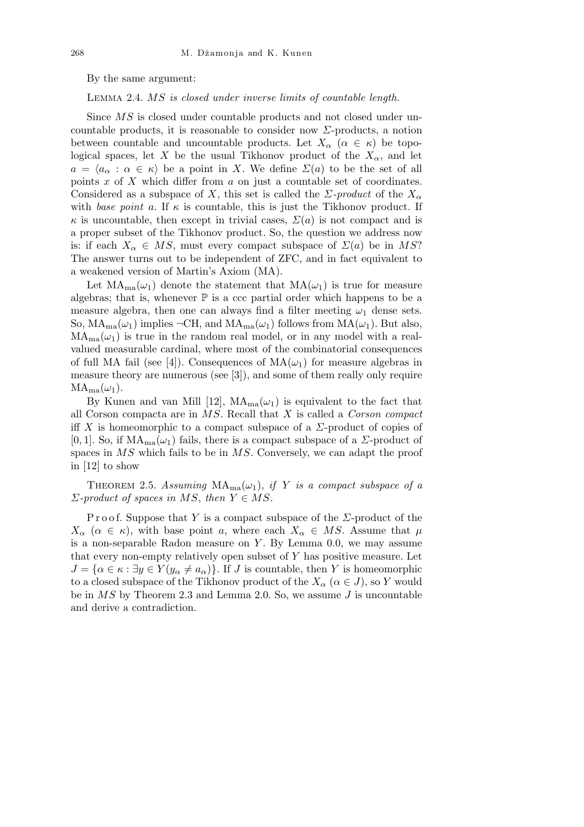By the same argument:

Lemma 2.4. *MS is closed under inverse limits of countable length.*

Since *MS* is closed under countable products and not closed under uncountable products, it is reasonable to consider now *Σ*-products, a notion between countable and uncountable products. Let  $X_\alpha$  ( $\alpha \in \kappa$ ) be topological spaces, let *X* be the usual Tikhonov product of the  $X_{\alpha}$ , and let  $a = \langle a_{\alpha} : \alpha \in \kappa \rangle$  be a point in *X*. We define  $\Sigma(a)$  to be the set of all points *x* of *X* which differ from *a* on just a countable set of coordinates. Considered as a subspace of X, this set is called the  $\Sigma$ -product of the  $X_\alpha$ with *base point a*. If  $\kappa$  is countable, this is just the Tikhonov product. If  $\kappa$  is uncountable, then except in trivial cases,  $\Sigma(a)$  is not compact and is a proper subset of the Tikhonov product. So, the question we address now is: if each  $X_\alpha \in MS$ , must every compact subspace of  $\Sigma(a)$  be in MS? The answer turns out to be independent of ZFC, and in fact equivalent to a weakened version of Martin's Axiom (MA).

Let  $MA_{ma}(\omega_1)$  denote the statement that  $MA(\omega_1)$  is true for measure algebras; that is, whenever  $\mathbb P$  is a ccc partial order which happens to be a measure algebra, then one can always find a filter meeting  $\omega_1$  dense sets. So,  $MA_{ma}(\omega_1)$  implies  $\neg CH$ , and  $MA_{ma}(\omega_1)$  follows from  $MA(\omega_1)$ . But also,  $MA<sub>ma</sub>(\omega<sub>1</sub>)$  is true in the random real model, or in any model with a realvalued measurable cardinal, where most of the combinatorial consequences of full MA fail (see [4]). Consequences of  $MA(\omega_1)$  for measure algebras in measure theory are numerous (see [3]), and some of them really only require  $MA<sub>ma</sub>(\omega<sub>1</sub>)$ .

By Kunen and van Mill [12],  $MA_{ma}(\omega_1)$  is equivalent to the fact that all Corson compacta are in *MS*. Recall that *X* is called a *Corson compact* iff *X* is homeomorphic to a compact subspace of a *Σ*-product of copies of [0, 1]. So, if  $MA_{ma}(\omega_1)$  fails, there is a compact subspace of a *Σ*-product of spaces in *MS* which fails to be in *MS*. Conversely, we can adapt the proof in [12] to show

THEOREM 2.5. Assuming  $MA_{ma}(\omega_1)$ , *if Y is a compact subspace of a*  $Σ$ -product of spaces in MS, then  $Y \in MS$ .

P r o o f. Suppose that *Y* is a compact subspace of the *Σ*-product of the  $X_{\alpha}$  ( $\alpha \in \kappa$ ), with base point *a*, where each  $X_{\alpha} \in MS$ . Assume that  $\mu$ is a non-separable Radon measure on *Y* . By Lemma 0.0, we may assume that every non-empty relatively open subset of *Y* has positive measure. Let  $J = \{ \alpha \in \kappa : \exists y \in Y (y_\alpha \neq a_\alpha) \}.$  If *J* is countable, then *Y* is homeomorphic to a closed subspace of the Tikhonov product of the  $X_\alpha$  ( $\alpha \in J$ ), so *Y* would be in *MS* by Theorem 2.3 and Lemma 2.0. So, we assume *J* is uncountable and derive a contradiction.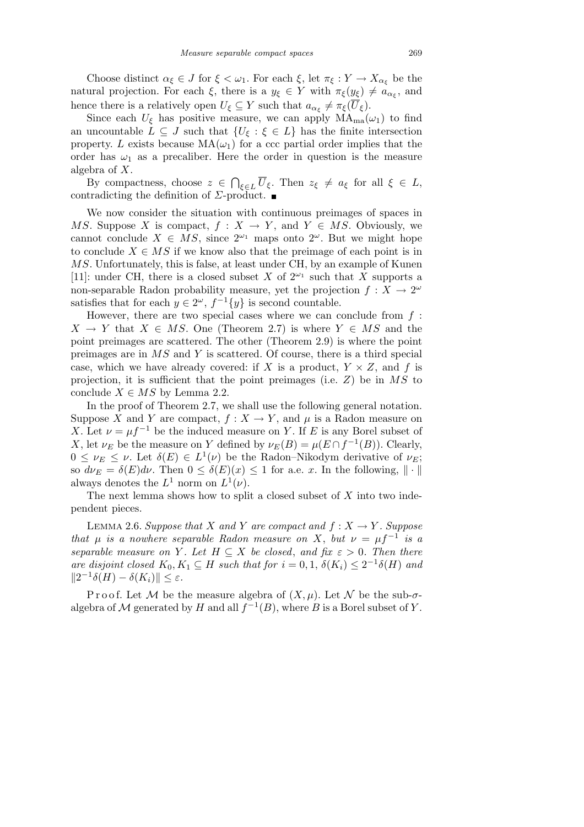Choose distinct  $\alpha_{\xi} \in J$  for  $\xi < \omega_1$ . For each  $\xi$ , let  $\pi_{\xi}: Y \to X_{\alpha_{\xi}}$  be the natural projection. For each  $\xi$ , there is a  $y_{\xi} \in Y$  with  $\pi_{\xi}(y_{\xi}) \neq a_{\alpha_{\xi}}$ , and hence there is a relatively open  $U_{\xi} \subseteq Y$  such that  $a_{\alpha_{\xi}} \neq \pi_{\xi}(\overline{U}_{\xi})$ .

Since each  $U_{\xi}$  has positive measure, we can apply  $MA_{ma}(\omega_1)$  to find an uncountable  $L \subseteq J$  such that  $\{U_{\xi} : \xi \in L\}$  has the finite intersection property. *L* exists because  $MA(\omega_1)$  for a ccc partial order implies that the order has  $\omega_1$  as a precaliber. Here the order in question is the measure algebra of *X*.  $\overline{a}$ 

By compactness, choose *z ∈ ξ*∈*L*  $\overline{U}_ξ$ . Then  $z_ξ ≠ a_ξ$  for all  $ξ ∈ L$ , contradicting the definition of *Σ*-product.

We now consider the situation with continuous preimages of spaces in *MS*. Suppose *X* is compact,  $f : X \to Y$ , and  $Y \in MS$ . Obviously, we cannot conclude  $X \in MS$ , since  $2^{\omega_1}$  maps onto  $2^{\omega}$ . But we might hope to conclude  $X \in MS$  if we know also that the preimage of each point is in *MS*. Unfortunately, this is false, at least under CH, by an example of Kunen [11]: under CH, there is a closed subset *X* of  $2^{\omega_1}$  such that *X* supports a non-separable Radon probability measure, yet the projection  $f: X \to 2^{\omega}$ satisfies that for each  $y \in 2^{\omega}$ ,  $f^{-1}{y}$  is second countable.

However, there are two special cases where we can conclude from *f* :  $X \rightarrow Y$  that  $X \in MS$ . One (Theorem 2.7) is where  $Y \in MS$  and the point preimages are scattered. The other (Theorem 2.9) is where the point preimages are in *MS* and *Y* is scattered. Of course, there is a third special case, which we have already covered: if *X* is a product,  $Y \times Z$ , and *f* is projection, it is sufficient that the point preimages (i.e. *Z*) be in *MS* to conclude  $X \in MS$  by Lemma 2.2.

In the proof of Theorem 2.7, we shall use the following general notation. Suppose *X* and *Y* are compact,  $f: X \to Y$ , and  $\mu$  is a Radon measure on *X*. Let  $\nu = \mu f^{-1}$  be the induced measure on *Y*. If *E* is any Borel subset of *X*, let  $\nu_E$  be the measure on *Y* defined by  $\nu_E(B) = \mu(E \cap f^{-1}(B))$ . Clearly,  $0 \leq \nu_E \leq \nu$ . Let  $\delta(E) \in L^1(\nu)$  be the Radon–Nikodym derivative of  $\nu_E$ ; so  $d\nu_E = \delta(E)d\nu$ . Then  $0 \leq \delta(E)(x) \leq 1$  for a.e. *x*. In the following,  $\|\cdot\|$ always denotes the  $L^1$  norm on  $L^1(\nu)$ .

The next lemma shows how to split a closed subset of *X* into two independent pieces.

LEMMA 2.6. *Suppose that X* and *Y* are compact and  $f: X \rightarrow Y$ . Suppose *that*  $\mu$  *is a nowhere separable Radon measure on X*, *but*  $\nu = \mu f^{-1}$  *is a separable measure on Y*. Let  $H \subseteq X$  *be closed, and fix*  $\varepsilon > 0$ *. Then there are disjoint closed*  $K_0, K_1 \subseteq H$  *such that for*  $i = 0, 1, \delta(K_i) \leq 2^{-1}\delta(H)$  *and*  $||2^{-1}\delta(H) - \delta(K_i)|| \leq \varepsilon$ .

P r o o f. Let M be the measure algebra of  $(X, \mu)$ . Let N be the sub- $\sigma$ algebra of  $M$  generated by  $H$  and all  $f^{-1}(B)$ , where  $B$  is a Borel subset of  $Y$ .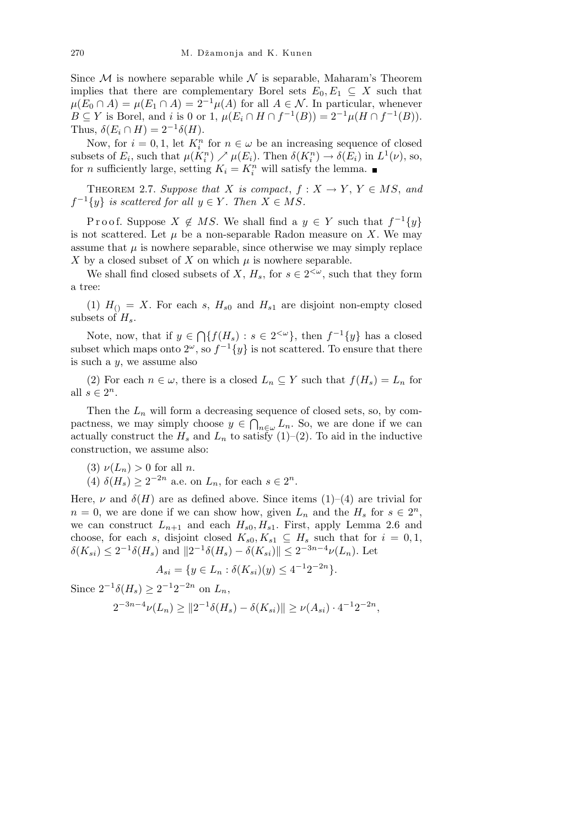Since  $M$  is nowhere separable while  $N$  is separable, Maharam's Theorem implies that there are complementary Borel sets  $E_0, E_1 \subseteq X$  such that  $\mu(E_0 \cap A) = \mu(E_1 \cap A) = 2^{-1}\mu(A)$  for all  $A \in \mathcal{N}$ . In particular, whenever *B*  $\subseteq$  *Y* is Borel, and *i* is 0 or 1,  $\mu(E_i \cap H \cap f^{-1}(B)) = 2^{-1}\mu(H \cap f^{-1}(B)).$ Thus,  $\delta(E_i \cap H) = 2^{-1} \delta(H)$ .

Now, for  $i = 0, 1$ , let  $K_i^n$  for  $n \in \omega$  be an increasing sequence of closed subsets of  $E_i$ , such that  $\mu(K_i^n) \nearrow \mu(E_i)$ . Then  $\delta(K_i^n) \to \delta(E_i)$  in  $L^1(\nu)$ , so, for *n* sufficiently large, setting  $K_i = K_i^n$  will satisfy the lemma.

THEOREM 2.7. *Suppose that X is compact*,  $f: X \to Y, Y \in MS$ , and  $f^{-1}{y}$  *is scattered for all*  $y \in Y$ *. Then*  $X \in MS$ *.* 

Proof. Suppose  $X \notin MS$ . We shall find a  $y \in Y$  such that  $f^{-1}{y}$ is not scattered. Let  $\mu$  be a non-separable Radon measure on X. We may assume that  $\mu$  is nowhere separable, since otherwise we may simply replace *X* by a closed subset of *X* on which  $\mu$  is nowhere separable.

We shall find closed subsets of *X*,  $H_s$ , for  $s \in 2^{<\omega}$ , such that they form a tree:

(1)  $H_{()} = X$ . For each *s*,  $H_{s0}$  and  $H_{s1}$  are disjoint non-empty closed subsets of *Hs*.

Note, now, that if *y ∈*  $\overline{a}$  ${f(H_s) : s \in 2^{<\omega} }$ , then  $f^{-1}{y}$  has a closed subset which maps onto  $2^{\omega}$ , so  $f^{-1}{y}$  is not scattered. To ensure that there is such a *y*, we assume also

(2) For each  $n \in \omega$ , there is a closed  $L_n \subseteq Y$  such that  $f(H_s) = L_n$  for all  $s \in 2^n$ .

Then the  $L_n$  will form a decreasing sequence of closed sets, so, by compactness, we may simply choose  $y \in \bigcap_{n \in \omega} L_n$ . So, we are done if we can actually construct the  $H_s$  and  $L_n$  to satisfy (1)–(2). To aid in the inductive construction, we assume also:

- (3)  $\nu(L_n) > 0$  for all *n*.
- (4)  $\delta(H_s) \geq 2^{-2n}$  a.e. on  $L_n$ , for each  $s \in 2^n$ .

Here,  $\nu$  and  $\delta(H)$  are as defined above. Since items (1)–(4) are trivial for  $n = 0$ , we are done if we can show how, given  $L_n$  and the  $H_s$  for  $s \in 2^n$ , we can construct  $L_{n+1}$  and each  $H_{s0}$ ,  $H_{s1}$ . First, apply Lemma 2.6 and choose, for each *s*, disjoint closed  $K_{s0}, K_{s1} \subseteq H_s$  such that for  $i = 0, 1$ ,  $\delta(K_{si}) \leq 2^{-1}\delta(H_s)$  and  $||2^{-1}\delta(H_s) - \delta(K_{si})|| \leq 2^{-3n-4}\nu(L_n)$ . Let

$$
A_{si} = \{ y \in L_n : \delta(K_{si})(y) \le 4^{-1}2^{-2n} \}.
$$

Since  $2^{-1}\delta(H_s)$  ≥  $2^{-1}2^{-2n}$  on  $L_n$ ,

$$
2^{-3n-4}\nu(L_n) \ge \|2^{-1}\delta(H_s) - \delta(K_{si})\| \ge \nu(A_{si}) \cdot 4^{-1}2^{-2n},
$$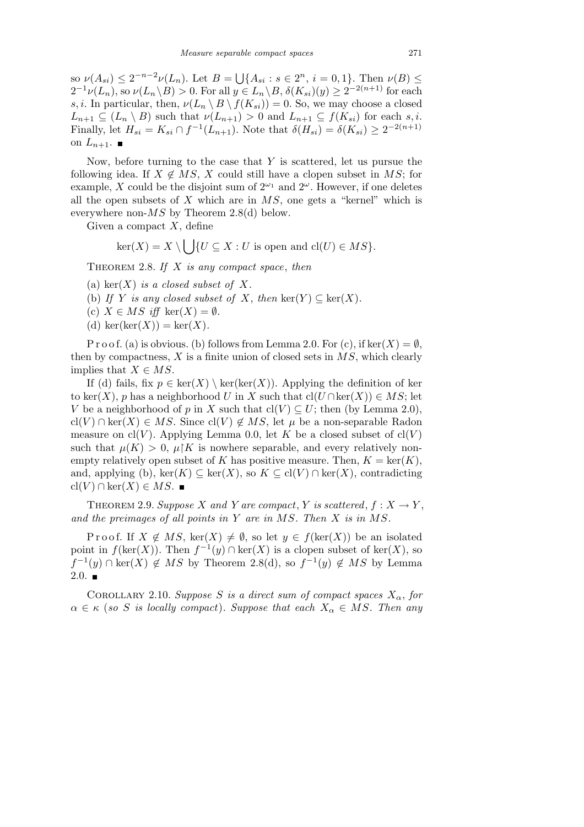so  $\nu(A_{si}) \leq 2^{-n-2}\nu(L_n)$ . Let  $B =$ S  ${A_{si}: s \in 2^n, i = 0,1}.$  Then  $\nu(B) \le$  $2^{-1}\nu(L_n)$ , so  $\nu(L_n \backslash B) > 0$ . For all  $y \in L_n \backslash B$ ,  $\delta(K_{si})(y) \geq 2^{-2(n+1)}$  for each *s, i*. In particular, then,  $\nu(L_n \setminus B \setminus f(K_{si})) = 0$ . So, we may choose a closed  $L_{n+1} \subseteq (L_n \setminus B)$  such that  $\nu(L_{n+1}) > 0$  and  $L_{n+1} \subseteq f(K_{si})$  for each *s, i*. Finally, let  $H_{si} = K_{si} \cap f^{-1}(L_{n+1})$ . Note that  $\delta(H_{si}) = \delta(K_{si}) \geq 2^{-2(n+1)}$ on  $L_{n+1}$ .

Now, before turning to the case that *Y* is scattered, let us pursue the following idea. If  $X \notin MS$ , X could still have a clopen subset in MS; for example, *X* could be the disjoint sum of  $2^{\omega_1}$  and  $2^{\omega}$ . However, if one deletes all the open subsets of *X* which are in *MS*, one gets a "kernel" which is everywhere non-*MS* by Theorem 2.8(d) below.

Given a compact *X*, define

$$
\ker(X) = X \setminus \bigcup \{ U \subseteq X : U \text{ is open and } cl(U) \in MS \}.
$$

Theorem 2.8. *If X is any compact space*, *then*

- (a) ker $(X)$  *is a closed subset of*  $X$ *.*
- (b) If Y is any closed subset of X, then  $\text{ker}(Y) \subseteq \text{ker}(X)$ .
- (c)  $X \in MS$  *iff* ker $(X) = \emptyset$ *.*
- (d) ker(ker $(X)$ ) = ker $(X)$ .

P r o o f. (a) is obvious. (b) follows from Lemma 2.0. For (c), if  $\text{ker}(X) = \emptyset$ , then by compactness, *X* is a finite union of closed sets in *MS*, which clearly implies that  $X \in MS$ .

If (d) fails, fix  $p \in \text{ker}(X) \setminus \text{ker}(\text{ker}(X))$ . Applying the definition of ker to ker(*X*), *p* has a neighborhood *U* in *X* such that  $\text{cl}(U \cap \text{ker}(X)) \in MS$ ; let *V* be a neighborhood of *p* in *X* such that  $\text{cl}(V) \subseteq U$ ; then (by Lemma 2.0), cl(*V*) ∩ ker(*X*)  $\in$  *MS*. Since cl(*V*)  $\notin$  *MS*, let  $\mu$  be a non-separable Radon measure on  $\text{cl}(V)$ . Applying Lemma 0.0, let K be a closed subset of  $\text{cl}(V)$ such that  $\mu(K) > 0$ ,  $\mu$ <sup>'</sup>K is nowhere separable, and every relatively nonempty relatively open subset of *K* has positive measure. Then,  $K = \text{ker}(K)$ , and, applying (b), ker( $K$ )  $\subseteq$  ker( $X$ ), so  $K \subseteq \text{cl}(V) \cap \text{ker}(X)$ , contradicting  $\text{cl}(V) \cap \text{ker}(X) \in MS.$  ■

THEOREM 2.9. *Suppose X* and *Y* are compact, *Y* is scattered,  $f: X \to Y$ , *and the preimages of all points in Y are in MS. Then X is in MS.*

Proof. If  $X \notin MS$ , ker $(X) \neq \emptyset$ , so let  $y \in f(\text{ker}(X))$  be an isolated point in  $f(\ker(X))$ . Then  $f^{-1}(y) \cap \ker(X)$  is a clopen subset of  $\ker(X)$ , so *f*<sup>-1</sup>(*y*) ∩ ker(*X*)  $\notin MS$  by Theorem 2.8(d), so  $f^{-1}(y) \not\in MS$  by Lemma  $2.0.$ 

COROLLARY 2.10. *Suppose S is a direct sum of compact spaces*  $X_{\alpha}$ , for  $\alpha \in \kappa$  (*so S is locally compact*)*. Suppose that each*  $X_{\alpha} \in MS$ *. Then any*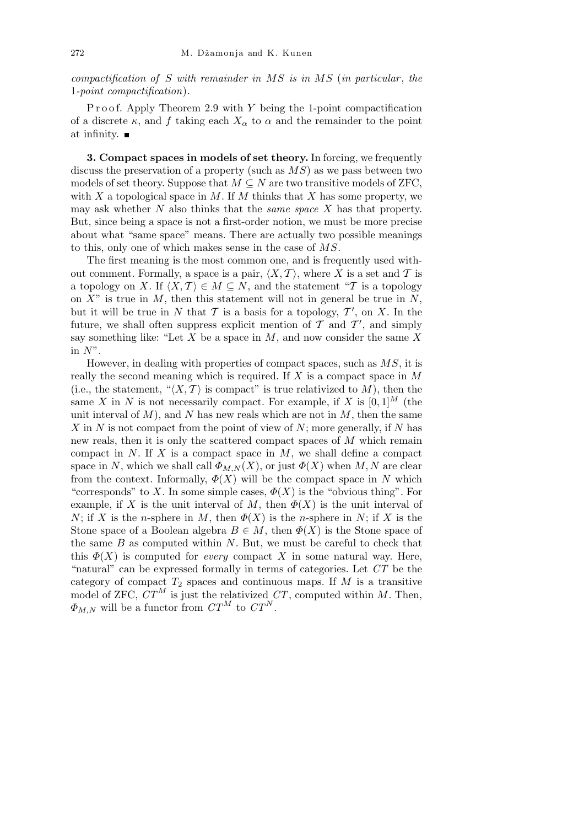*compactification of S with remainder in MS is in MS* (*in particular* , *the* 1*-point compactification*)*.*

Proof. Apply Theorem 2.9 with *Y* being the 1-point compactification of a discrete  $\kappa$ , and  $f$  taking each  $X_\alpha$  to  $\alpha$  and the remainder to the point at infinity.

**3. Compact spaces in models of set theory.** In forcing, we frequently discuss the preservation of a property (such as *MS*) as we pass between two models of set theory. Suppose that  $M \subseteq N$  are two transitive models of ZFC, with *X* a topological space in *M*. If *M* thinks that *X* has some property, we may ask whether *N* also thinks that the *same space X* has that property. But, since being a space is not a first-order notion, we must be more precise about what "same space" means. There are actually two possible meanings to this, only one of which makes sense in the case of *MS*.

The first meaning is the most common one, and is frequently used without comment. Formally, a space is a pair,  $\langle X, \mathcal{T} \rangle$ , where X is a set and  $\mathcal{T}$  is a topology on *X*. If  $\langle X, \mathcal{T} \rangle \in M \subseteq N$ , and the statement "*T* is a topology on *X*" is true in *M*, then this statement will not in general be true in *N*, but it will be true in *N* that  $\mathcal T$  is a basis for a topology,  $\mathcal T'$ , on *X*. In the future, we shall often suppress explicit mention of  $\mathcal T$  and  $\mathcal T'$ , and simply say something like: "Let *X* be a space in *M*, and now consider the same *X* in *N*".

However, in dealing with properties of compact spaces, such as *MS*, it is really the second meaning which is required. If *X* is a compact space in *M* (i.e., the statement, " $\langle X, \mathcal{T} \rangle$  is compact" is true relativized to M), then the same *X* in *N* is not necessarily compact. For example, if *X* is  $[0, 1]^M$  (the unit interval of  $M$ ), and  $N$  has new reals which are not in  $M$ , then the same *X* in *N* is not compact from the point of view of *N*; more generally, if *N* has new reals, then it is only the scattered compact spaces of *M* which remain compact in *N*. If *X* is a compact space in *M*, we shall define a compact space in *N*, which we shall call  $\Phi_{M,N}(X)$ , or just  $\Phi(X)$  when *M*, *N* are clear from the context. Informally,  $\Phi(X)$  will be the compact space in *N* which "corresponds" to *X*. In some simple cases,  $\Phi(X)$  is the "obvious thing". For example, if *X* is the unit interval of *M*, then  $\Phi(X)$  is the unit interval of *N*; if *X* is the *n*-sphere in *M*, then  $\Phi(X)$  is the *n*-sphere in *N*; if *X* is the Stone space of a Boolean algebra  $B \in M$ , then  $\Phi(X)$  is the Stone space of the same *B* as computed within *N*. But, we must be careful to check that this  $\Phi(X)$  is computed for *every* compact X in some natural way. Here, "natural" can be expressed formally in terms of categories. Let *CT* be the category of compact  $T_2$  spaces and continuous maps. If  $M$  is a transitive model of ZFC,  $CT^M$  is just the relativized  $CT$ , computed within *M*. Then,  $\Phi_{M,N}$  will be a functor from  $CT^M$  to  $CT^N$ .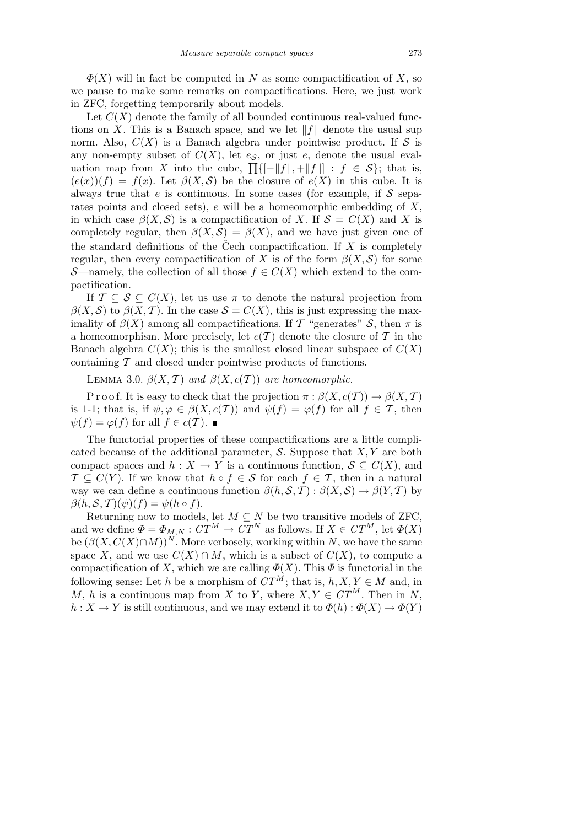$\Phi(X)$  will in fact be computed in *N* as some compactification of *X*, so we pause to make some remarks on compactifications. Here, we just work in ZFC, forgetting temporarily about models.

Let  $C(X)$  denote the family of all bounded continuous real-valued functions on *X*. This is a Banach space, and we let  $||f||$  denote the usual sup norm. Also,  $C(X)$  is a Banach algebra under pointwise product. If S is any non-empty subset of  $C(X)$ , let  $e<sub>S</sub>$ , or just  $e<sub>s</sub>$ , denote the usual evaluation map from *X* into the cube,  $\prod_{i}$ { $\lfloor f \rfloor$ ,  $\lfloor f \rfloor$ ,  $\lfloor f \rfloor$  :  $f \in S$ }; that is,  $(e(x))(f) = f(x)$ . Let  $\beta(X, S)$  be the closure of  $e(X)$  in this cube. It is always true that *e* is continuous. In some cases (for example, if *S* separates points and closed sets), *e* will be a homeomorphic embedding of *X*, in which case  $\beta(X, \mathcal{S})$  is a compactification of *X*. If  $\mathcal{S} = C(X)$  and *X* is completely regular, then  $\beta(X, \mathcal{S}) = \beta(X)$ , and we have just given one of the standard definitions of the Čech compactification. If  $X$  is completely regular, then every compactification of *X* is of the form  $\beta(X, \mathcal{S})$  for some *S*—namely, the collection of all those  $f \in C(X)$  which extend to the compactification.

If  $\mathcal{T} \subseteq \mathcal{S} \subseteq C(X)$ , let us use  $\pi$  to denote the natural projection from  $\beta(X, \mathcal{S})$  to  $\beta(X, \mathcal{T})$ . In the case  $\mathcal{S} = C(X)$ , this is just expressing the maximality of  $\beta(X)$  among all compactifications. If *T* "generates" *S*, then  $\pi$  is a homeomorphism. More precisely, let  $c(T)$  denote the closure of  $T$  in the Banach algebra  $C(X)$ ; this is the smallest closed linear subspace of  $C(X)$ containing *T* and closed under pointwise products of functions.

LEMMA 3.0.  $\beta(X, \mathcal{T})$  *and*  $\beta(X, c(\mathcal{T}))$  *are homeomorphic.* 

P r o o f. It is easy to check that the projection  $\pi : \beta(X, c(T)) \to \beta(X, T)$ is 1-1; that is, if  $\psi, \varphi \in \beta(X, c(\mathcal{T}))$  and  $\psi(f) = \varphi(f)$  for all  $f \in \mathcal{T}$ , then  $ψ(f) = φ(f)$  for all  $f ∈ c(T)$ . ■

The functorial properties of these compactifications are a little complicated because of the additional parameter, *S*. Suppose that *X, Y* are both compact spaces and  $h: X \to Y$  is a continuous function,  $S \subseteq C(X)$ , and  $\mathcal{T} \subseteq C(Y)$ . If we know that  $h \circ f \in \mathcal{S}$  for each  $f \in \mathcal{T}$ , then in a natural way we can define a continuous function  $\beta(h, \mathcal{S}, \mathcal{T}) : \beta(X, \mathcal{S}) \to \beta(Y, \mathcal{T})$  by  $\beta(h, S, T)(\psi)(f) = \psi(h \circ f).$ 

Returning now to models, let  $M \subseteq N$  be two transitive models of ZFC, and we define  $\Phi = \Phi_{M,N} : C T^M \to C T^N$  as follows. If  $X \in C T^M$ , let  $\Phi(X)$ be  $(\beta(X, C(X) \cap M))^N$ . More verbosely, working within *N*, we have the same space *X*, and we use  $C(X) \cap M$ , which is a subset of  $C(X)$ , to compute a compactification of *X*, which we are calling  $\Phi(X)$ . This  $\Phi$  is functorial in the following sense: Let *h* be a morphism of  $CT^M$ ; that is,  $h, X, Y \in M$  and, in *M*, *h* is a continuous map from *X* to *Y*, where  $X, Y \in \mathbb{CT}^M$ . Then in *N*,  $h: X \to Y$  is still continuous, and we may extend it to  $\Phi(h): \Phi(X) \to \Phi(Y)$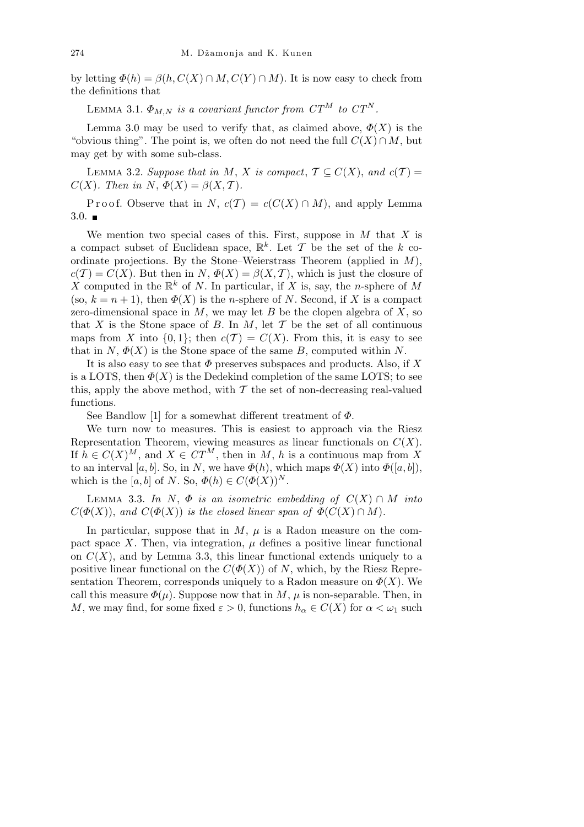by letting  $\Phi(h) = \beta(h, C(X) \cap M, C(Y) \cap M)$ . It is now easy to check from the definitions that

LEMMA 3.1.  $\Phi_{M,N}$  *is a covariant functor from CT*<sup>*M*</sup> *to CT*<sup>*N*</sup>.

Lemma 3.0 may be used to verify that, as claimed above,  $\Phi(X)$  is the "obvious thing". The point is, we often do not need the full  $C(X) \cap M$ , but may get by with some sub-class.

LEMMA 3.2. *Suppose that in M*, *X is compact*,  $\mathcal{T} \subseteq C(X)$ , and  $c(\mathcal{T}) =$  $C(X)$ *. Then in*  $N$ ,  $\Phi(X) = \beta(X, \mathcal{T})$ *.* 

Proof. Observe that in *N*,  $c(T) = c(C(X) \cap M)$ , and apply Lemma  $3.0.$ 

We mention two special cases of this. First, suppose in *M* that *X* is a compact subset of Euclidean space,  $\mathbb{R}^k$ . Let  $\mathcal T$  be the set of the  $k$  coordinate projections. By the Stone–Weierstrass Theorem (applied in *M*),  $c(T) = C(X)$ . But then in *N*,  $\Phi(X) = \beta(X, \mathcal{T})$ , which is just the closure of X computed in the  $\mathbb{R}^k$  of N. In particular, if X is, say, the *n*-sphere of M (so,  $k = n + 1$ ), then  $\Phi(X)$  is the *n*-sphere of *N*. Second, if *X* is a compact zero-dimensional space in *M*, we may let *B* be the clopen algebra of *X*, so that *X* is the Stone space of *B*. In *M*, let  $\mathcal T$  be the set of all continuous maps from *X* into  $\{0,1\}$ ; then  $c(T) = C(X)$ . From this, it is easy to see that in  $N$ ,  $\Phi(X)$  is the Stone space of the same *B*, computed within *N*.

It is also easy to see that *Φ* preserves subspaces and products. Also, if *X* is a LOTS, then  $\Phi(X)$  is the Dedekind completion of the same LOTS; to see this, apply the above method, with  $\mathcal T$  the set of non-decreasing real-valued functions.

See Bandlow [1] for a somewhat different treatment of *Φ*.

We turn now to measures. This is easiest to approach via the Riesz Representation Theorem, viewing measures as linear functionals on *C*(*X*). If  $h \in C(X)^M$ , and  $X \in \mathbb{C}T^M$ , then in *M*, *h* is a continuous map from X to an interval [a, b]. So, in N, we have  $\Phi(h)$ , which maps  $\Phi(X)$  into  $\Phi([a, b])$ , which is the [a, b] of *N*. So,  $\Phi(h) \in C(\Phi(X))^N$ .

LEMMA 3.3. In N,  $\Phi$  *is an isometric embedding of*  $C(X) \cap M$  *into*  $C(\Phi(X))$ , and  $C(\Phi(X))$  *is the closed linear span of*  $\Phi(C(X) \cap M)$ *.* 

In particular, suppose that in  $M$ ,  $\mu$  is a Radon measure on the compact space *X*. Then, via integration,  $\mu$  defines a positive linear functional on  $C(X)$ , and by Lemma 3.3, this linear functional extends uniquely to a positive linear functional on the  $C(\Phi(X))$  of *N*, which, by the Riesz Representation Theorem, corresponds uniquely to a Radon measure on  $\Phi(X)$ . We call this measure  $\Phi(\mu)$ . Suppose now that in *M*,  $\mu$  is non-separable. Then, in *M*, we may find, for some fixed  $\varepsilon > 0$ , functions  $h_{\alpha} \in C(X)$  for  $\alpha < \omega_1$  such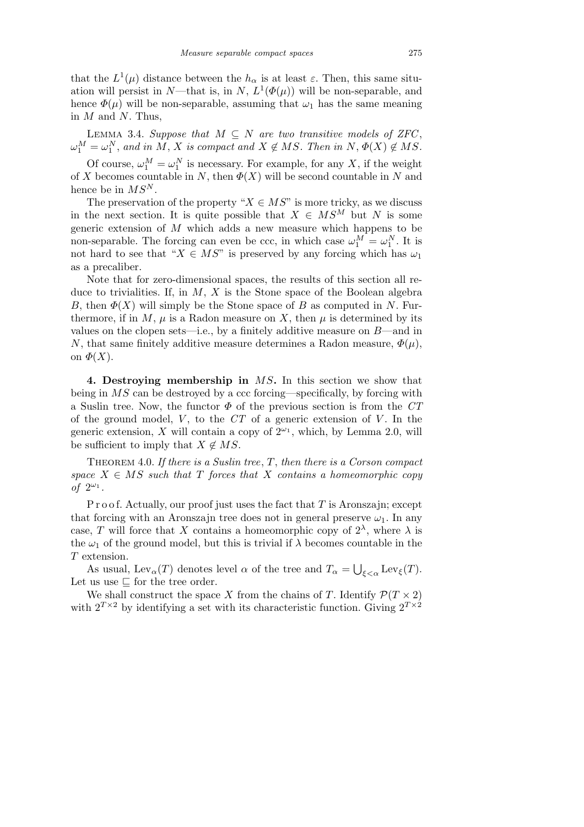that the  $L^1(\mu)$  distance between the  $h_\alpha$  is at least  $\varepsilon$ . Then, this same situation will persist in *N*—that is, in *N*,  $L^1(\Phi(\mu))$  will be non-separable, and hence  $\Phi(\mu)$  will be non-separable, assuming that  $\omega_1$  has the same meaning in *M* and *N*. Thus,

LEMMA 3.4. *Suppose that*  $M \subseteq N$  *are two transitive models of ZFC*,  $\omega_1^M = \omega_1^N$ , and in *M*, *X* is compact and  $X \notin MS$ . Then in  $N, \Phi(X) \notin MS$ .

Of course,  $\omega_1^M = \omega_1^N$  is necessary. For example, for any X, if the weight of *X* becomes countable in *N*, then  $\Phi(X)$  will be second countable in *N* and hence be in *MS<sup>N</sup>* .

The preservation of the property " $X \in MS$ " is more tricky, as we discuss in the next section. It is quite possible that  $X \in MS^M$  but *N* is some generic extension of *M* which adds a new measure which happens to be non-separable. The forcing can even be ccc, in which case  $\omega_1^M = \omega_1^N$ . It is not hard to see that " $X \in MS$ " is preserved by any forcing which has  $\omega_1$ as a precaliber.

Note that for zero-dimensional spaces, the results of this section all reduce to trivialities. If, in *M*, *X* is the Stone space of the Boolean algebra *B*, then  $\Phi(X)$  will simply be the Stone space of *B* as computed in *N*. Furthermore, if in M,  $\mu$  is a Radon measure on X, then  $\mu$  is determined by its values on the clopen sets—i.e., by a finitely additive measure on *B*—and in *N*, that same finitely additive measure determines a Radon measure,  $\Phi(\mu)$ , on  $\Phi(X)$ .

**4. Destroying membership in** *MS***.** In this section we show that being in *MS* can be destroyed by a ccc forcing—specifically, by forcing with a Suslin tree. Now, the functor *Φ* of the previous section is from the *CT* of the ground model, *V* , to the *CT* of a generic extension of *V* . In the generic extension, *X* will contain a copy of  $2^{\omega_1}$ , which, by Lemma 2.0, will be sufficient to imply that  $X \notin MS$ .

Theorem 4.0. *If there is a Suslin tree*, *T*, *then there is a Corson compact space*  $X \in MS$  *such that*  $T$  *forces that*  $X$  *contains a homeomorphic copy of*  $2^{\omega_1}$ .

P r o o f. Actually, our proof just uses the fact that *T* is Aronszajn; except that forcing with an Aronszajn tree does not in general preserve  $\omega_1$ . In any case, *T* will force that *X* contains a homeomorphic copy of  $2^{\lambda}$ , where  $\lambda$  is the  $\omega_1$  of the ground model, but this is trivial if  $\lambda$  becomes countable in the *T* extension. S

As usual, Lev<sub>α</sub>(*T*) denotes level  $\alpha$  of the tree and  $T_{\alpha} =$ *ξ<α* Lev*ξ*(*T*). Let us use  $\sqsubseteq$  for the tree order.

We shall construct the space *X* from the chains of *T*. Identify  $\mathcal{P}(T \times 2)$ with  $2^{T\times2}$  by identifying a set with its characteristic function. Giving  $2^{T\times2}$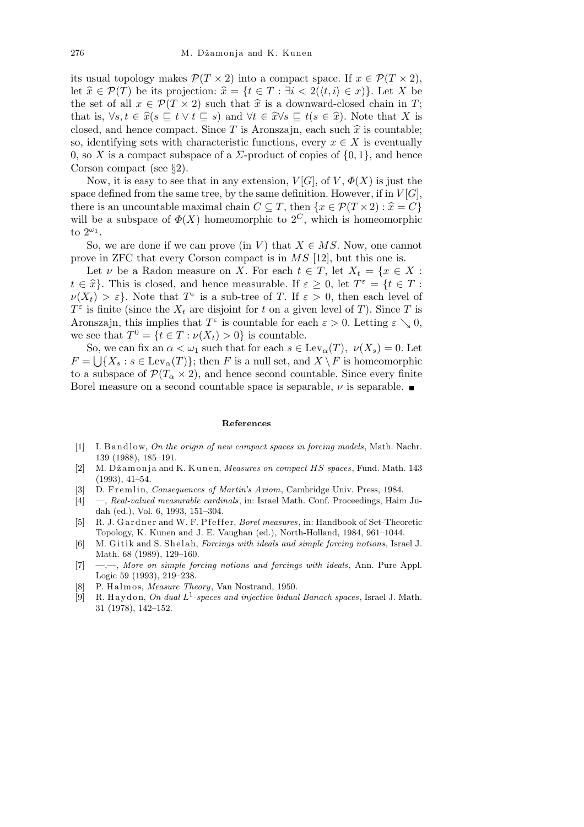its usual topology makes  $\mathcal{P}(T \times 2)$  into a compact space. If  $x \in \mathcal{P}(T \times 2)$ , let  $\hat{x} \in \mathcal{P}(T)$  be its projection:  $\hat{x} = \{t \in T : \exists i < 2(\langle t, i \rangle \in x)\}\)$ . Let X be the set of all  $x \in \mathcal{P}(T \times 2)$  such that  $\hat{x}$  is a downward-closed chain in *T*; that is,  $\forall s, t \in \hat{x}(s \sqsubseteq t \lor t \sqsubseteq s)$  and  $\forall t \in \hat{x} \forall s \sqsubseteq t(s \in \hat{x})$ . Note that X is closed, and hence compact. Since  $T$  is Aronszajn, each such  $\hat{x}$  is countable; so, identifying sets with characteristic functions, every  $x \in X$  is eventually 0, so *X* is a compact subspace of a *Σ*-product of copies of *{*0*,* 1*}*, and hence Corson compact (see *§*2).

Now, it is easy to see that in any extension,  $V[G]$ , of  $V$ ,  $\Phi(X)$  is just the space defined from the same tree, by the same definition. However, if in  $V[G]$ , there is an uncountable maximal chain  $C \subseteq T$ , then  $\{x \in \mathcal{P}(T \times 2) : \hat{x} = C\}$ will be a subspace of  $\Phi(X)$  homeomorphic to  $2^C$ , which is homeomorphic to  $2^{\omega_1}$ .

So, we are done if we can prove (in *V*) that  $X \in MS$ . Now, one cannot prove in ZFC that every Corson compact is in *MS* [12], but this one is.

Let *ν* be a Radon measure on *X*. For each  $t \in T$ , let  $X_t = \{x \in X :$ *t*  $\in \hat{x}$ . This is closed, and hence measurable. If  $\varepsilon \geq 0$ , let  $T^{\varepsilon} = \{t \in T :$  $\nu(X_t) > \varepsilon$ . Note that  $T^{\varepsilon}$  is a sub-tree of *T*. If  $\varepsilon > 0$ , then each level of  $T^{\varepsilon}$  is finite (since the  $X_t$  are disjoint for *t* on a given level of *T*). Since *T* is Aronszajn, this implies that  $T^{\varepsilon}$  is countable for each  $\varepsilon > 0$ . Letting  $\varepsilon \searrow 0$ , we see that  $T^0 = \{t \in T : \nu(X_t) > 0\}$  is countable.

So, we can fix an  $\alpha < \omega_1$  such that for each  $s \in \text{Lev}_\alpha(T)$ ,  $\nu(X_s) = 0$ . Let  $F = \bigcup \{X_s : s \in \text{Lev}_\alpha(T)\}\$ ; then *F* is a null set, and  $X \setminus F$  is homeomorphic to a subspace of  $\mathcal{P}(T_\alpha \times 2)$ , and hence second countable. Since every finite Borel measure on a second countable space is separable,  $\nu$  is separable.

## **References**

- [1] I. B and low, *On the origin of new compact spaces in forcing models*, Math. Nachr. 139 (1988), 185–191.
- [2] M. Džamonja and K. Kunen, *Measures on compact HS spaces*, Fund. Math. 143 (1993), 41–54.
- [3] D. Fremlin, *Consequences of Martin's Axiom*, Cambridge Univ. Press, 1984.
- [4] —, *Real-valued measurable cardinals*, in: Israel Math. Conf. Proceedings, Haim Judah (ed.), Vol. 6, 1993, 151–304.
- [5] R. J. Gardner and W. F. P f effer, *Borel measures*, in: Handbook of Set-Theoretic Topology, K. Kunen and J. E. Vaughan (ed.), North-Holland, 1984, 961–1044.
- [6] M. Gitik and S. Shelah, *Forcings with ideals and simple forcing notions*, Israel J. Math. 68 (1989), 129–160.
- [7] —,—, *More on simple forcing notions and forcings with ideals*, Ann. Pure Appl. Logic 59 (1993), 219–238.
- [8] P. H alm o s, *Measure Theory*, Van Nostrand, 1950.
- $[9]$  R. Haydon, *On dual*  $L^1$ -spaces and injective bidual Banach spaces, Israel J. Math. 31 (1978), 142–152.